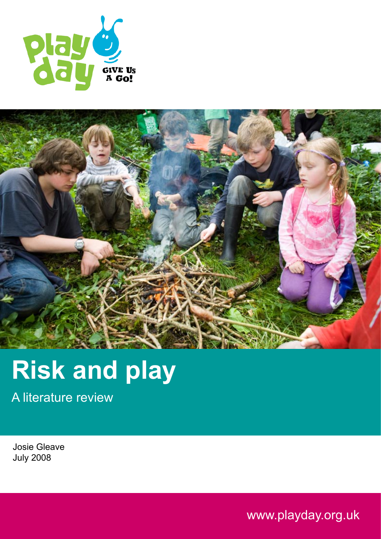



# **Risk and play**

A literature review

Josie Gleave July 2008

www.playday.org.uk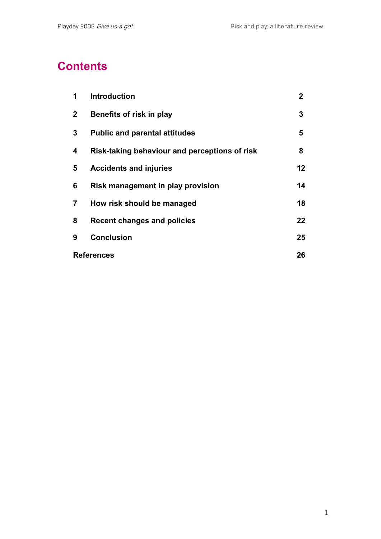# **Contents**

| 1                 | <b>Introduction</b>                           | $\mathbf{2}$    |
|-------------------|-----------------------------------------------|-----------------|
| $\mathbf{2}$      | Benefits of risk in play                      | 3               |
| 3                 | <b>Public and parental attitudes</b>          | 5               |
| 4                 | Risk-taking behaviour and perceptions of risk | 8               |
| 5                 | <b>Accidents and injuries</b>                 | 12 <sub>2</sub> |
| 6                 | Risk management in play provision             | 14              |
| 7                 | How risk should be managed                    | 18              |
| 8                 | <b>Recent changes and policies</b>            | 22              |
| 9                 | <b>Conclusion</b>                             | 25              |
| <b>References</b> |                                               | 26              |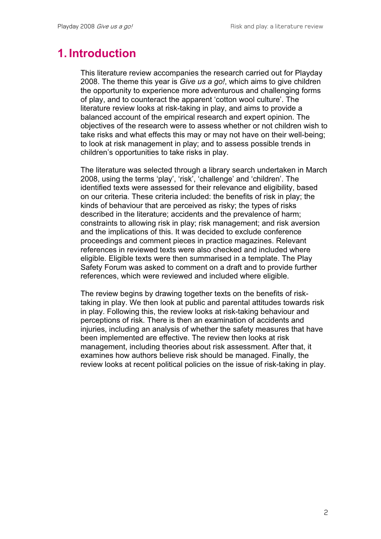#### **1. Introduction**

This literature review accompanies the research carried out for Playday 2008. The theme this year is *Give us a go!*, which aims to give children the opportunity to experience more adventurous and challenging forms of play, and to counteract the apparent 'cotton wool culture'. The literature review looks at risk-taking in play, and aims to provide a balanced account of the empirical research and expert opinion. The objectives of the research were to assess whether or not children wish to take risks and what effects this may or may not have on their well-being; to look at risk management in play; and to assess possible trends in children's opportunities to take risks in play.

The literature was selected through a library search undertaken in March 2008, using the terms 'play', 'risk', 'challenge' and 'children'. The identified texts were assessed for their relevance and eligibility, based on our criteria. These criteria included: the benefits of risk in play; the kinds of behaviour that are perceived as risky; the types of risks described in the literature; accidents and the prevalence of harm; constraints to allowing risk in play; risk management; and risk aversion and the implications of this. It was decided to exclude conference proceedings and comment pieces in practice magazines. Relevant references in reviewed texts were also checked and included where eligible. Eligible texts were then summarised in a template. The Play Safety Forum was asked to comment on a draft and to provide further references, which were reviewed and included where eligible.

The review begins by drawing together texts on the benefits of risktaking in play. We then look at public and parental attitudes towards risk in play. Following this, the review looks at risk-taking behaviour and perceptions of risk. There is then an examination of accidents and injuries, including an analysis of whether the safety measures that have been implemented are effective. The review then looks at risk management, including theories about risk assessment. After that, it examines how authors believe risk should be managed. Finally, the review looks at recent political policies on the issue of risk-taking in play.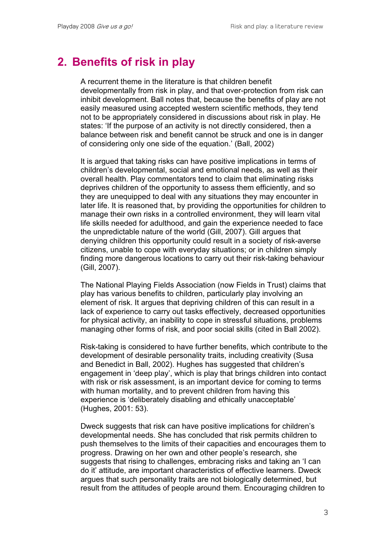### **2. Benefits of risk in play**

A recurrent theme in the literature is that children benefit developmentally from risk in play, and that over-protection from risk can inhibit development. Ball notes that, because the benefits of play are not easily measured using accepted western scientific methods, they tend not to be appropriately considered in discussions about risk in play. He states: 'If the purpose of an activity is not directly considered, then a balance between risk and benefit cannot be struck and one is in danger of considering only one side of the equation.' (Ball, 2002)

It is argued that taking risks can have positive implications in terms of children's developmental, social and emotional needs, as well as their overall health. Play commentators tend to claim that eliminating risks deprives children of the opportunity to assess them efficiently, and so they are unequipped to deal with any situations they may encounter in later life. It is reasoned that, by providing the opportunities for children to manage their own risks in a controlled environment, they will learn vital life skills needed for adulthood, and gain the experience needed to face the unpredictable nature of the world (Gill, 2007). Gill argues that denying children this opportunity could result in a society of risk-averse citizens, unable to cope with everyday situations; or in children simply finding more dangerous locations to carry out their risk-taking behaviour (Gill, 2007).

The National Playing Fields Association (now Fields in Trust) claims that play has various benefits to children, particularly play involving an element of risk. It argues that depriving children of this can result in a lack of experience to carry out tasks effectively, decreased opportunities for physical activity, an inability to cope in stressful situations, problems managing other forms of risk, and poor social skills (cited in Ball 2002).

Risk-taking is considered to have further benefits, which contribute to the development of desirable personality traits, including creativity (Susa and Benedict in Ball, 2002). Hughes has suggested that children's engagement in 'deep play', which is play that brings children into contact with risk or risk assessment, is an important device for coming to terms with human mortality, and to prevent children from having this experience is 'deliberately disabling and ethically unacceptable' (Hughes, 2001: 53).

Dweck suggests that risk can have positive implications for children's developmental needs. She has concluded that risk permits children to push themselves to the limits of their capacities and encourages them to progress. Drawing on her own and other people's research, she suggests that rising to challenges, embracing risks and taking an 'I can do it' attitude, are important characteristics of effective learners. Dweck argues that such personality traits are not biologically determined, but result from the attitudes of people around them. Encouraging children to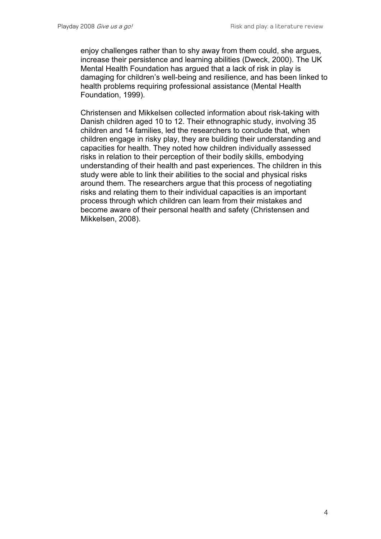enjoy challenges rather than to shy away from them could, she argues, increase their persistence and learning abilities (Dweck, 2000). The UK Mental Health Foundation has argued that a lack of risk in play is damaging for children's well-being and resilience, and has been linked to health problems requiring professional assistance (Mental Health Foundation, 1999).

Christensen and Mikkelsen collected information about risk-taking with Danish children aged 10 to 12. Their ethnographic study, involving 35 children and 14 families, led the researchers to conclude that, when children engage in risky play, they are building their understanding and capacities for health. They noted how children individually assessed risks in relation to their perception of their bodily skills, embodying understanding of their health and past experiences. The children in this study were able to link their abilities to the social and physical risks around them. The researchers argue that this process of negotiating risks and relating them to their individual capacities is an important process through which children can learn from their mistakes and become aware of their personal health and safety (Christensen and Mikkelsen, 2008).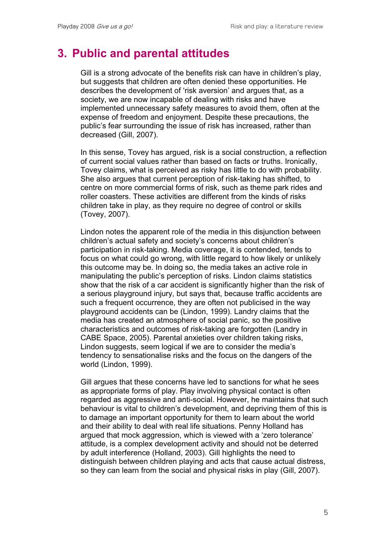#### **3. Public and parental attitudes**

Gill is a strong advocate of the benefits risk can have in children's play, but suggests that children are often denied these opportunities. He describes the development of 'risk aversion' and argues that, as a society, we are now incapable of dealing with risks and have implemented unnecessary safety measures to avoid them, often at the expense of freedom and enjoyment. Despite these precautions, the public's fear surrounding the issue of risk has increased, rather than decreased (Gill, 2007).

In this sense, Tovey has argued, risk is a social construction, a reflection of current social values rather than based on facts or truths. Ironically, Tovey claims, what is perceived as risky has little to do with probability. She also argues that current perception of risk-taking has shifted, to centre on more commercial forms of risk, such as theme park rides and roller coasters. These activities are different from the kinds of risks children take in play, as they require no degree of control or skills (Tovey, 2007).

Lindon notes the apparent role of the media in this disjunction between children's actual safety and society's concerns about children's participation in risk-taking. Media coverage, it is contended, tends to focus on what could go wrong, with little regard to how likely or unlikely this outcome may be. In doing so, the media takes an active role in manipulating the public's perception of risks. Lindon claims statistics show that the risk of a car accident is significantly higher than the risk of a serious playground injury, but says that, because traffic accidents are such a frequent occurrence, they are often not publicised in the way playground accidents can be (Lindon, 1999). Landry claims that the media has created an atmosphere of social panic, so the positive characteristics and outcomes of risk-taking are forgotten (Landry in CABE Space, 2005). Parental anxieties over children taking risks, Lindon suggests, seem logical if we are to consider the media's tendency to sensationalise risks and the focus on the dangers of the world (Lindon, 1999).

Gill argues that these concerns have led to sanctions for what he sees as appropriate forms of play. Play involving physical contact is often regarded as aggressive and anti-social. However, he maintains that such behaviour is vital to children's development, and depriving them of this is to damage an important opportunity for them to learn about the world and their ability to deal with real life situations. Penny Holland has argued that mock aggression, which is viewed with a 'zero tolerance' attitude, is a complex development activity and should not be deterred by adult interference (Holland, 2003). Gill highlights the need to distinguish between children playing and acts that cause actual distress, so they can learn from the social and physical risks in play (Gill, 2007).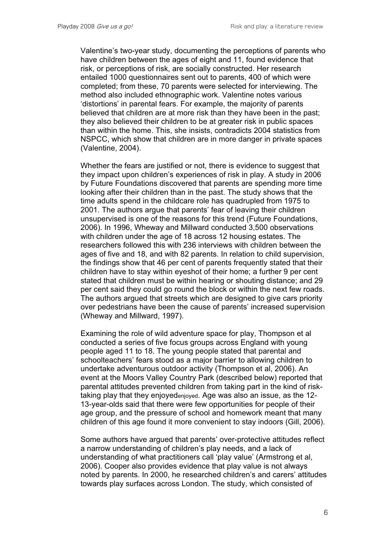Valentine's two-year study, documenting the perceptions of parents who have children between the ages of eight and 11, found evidence that risk, or perceptions of risk, are socially constructed. Her research entailed 1000 questionnaires sent out to parents, 400 of which were completed; from these, 70 parents were selected for interviewing. The method also included ethnographic work. Valentine notes various 'distortions' in parental fears. For example, the majority of parents believed that children are at more risk than they have been in the past; they also believed their children to be at greater risk in public spaces than within the home. This, she insists, contradicts 2004 statistics from NSPCC, which show that children are in more danger in private spaces (Valentine, 2004).

Whether the fears are justified or not, there is evidence to suggest that they impact upon children's experiences of risk in play. A study in 2006 by Future Foundations discovered that parents are spending more time looking after their children than in the past. The study shows that the time adults spend in the childcare role has quadrupled from 1975 to 2001. The authors argue that parents' fear of leaving their children unsupervised is one of the reasons for this trend (Future Foundations, 2006). In 1996, Wheway and Millward conducted 3,500 observations with children under the age of 18 across 12 housing estates. The researchers followed this with 236 interviews with children between the ages of five and 18, and with 82 parents. In relation to child supervision, the findings show that 46 per cent of parents frequently stated that their children have to stay within eyeshot of their home; a further 9 per cent stated that children must be within hearing or shouting distance; and 29 per cent said they could go round the block or within the next few roads. The authors argued that streets which are designed to give cars priority over pedestrians have been the cause of parents' increased supervision (Wheway and Millward, 1997).

Examining the role of wild adventure space for play, Thompson et al conducted a series of five focus groups across England with young people aged 11 to 18. The young people stated that parental and schoolteachers' fears stood as a major barrier to allowing children to undertake adventurous outdoor activity (Thompson et al, 2006). An event at the Moors Valley Country Park (described below) reported that parental attitudes prevented children from taking part in the kind of risktaking play that they enjoyedenjoyed. Age was also an issue, as the 12- 13-year-olds said that there were few opportunities for people of their age group, and the pressure of school and homework meant that many children of this age found it more convenient to stay indoors (Gill, 2006).

Some authors have argued that parents' over-protective attitudes reflect a narrow understanding of children's play needs, and a lack of understanding of what practitioners call 'play value' (Armstrong et al, 2006). Cooper also provides evidence that play value is not always noted by parents. In 2000, he researched children's and carers' attitudes towards play surfaces across London. The study, which consisted of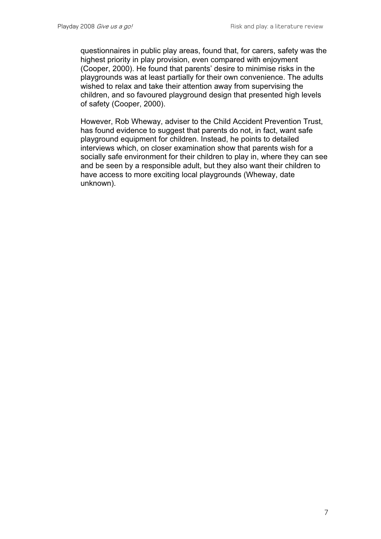questionnaires in public play areas, found that, for carers, safety was the highest priority in play provision, even compared with enjoyment (Cooper, 2000). He found that parents' desire to minimise risks in the playgrounds was at least partially for their own convenience. The adults wished to relax and take their attention away from supervising the children, and so favoured playground design that presented high levels of safety (Cooper, 2000).

However, Rob Wheway, adviser to the Child Accident Prevention Trust, has found evidence to suggest that parents do not, in fact, want safe playground equipment for children. Instead, he points to detailed interviews which, on closer examination show that parents wish for a socially safe environment for their children to play in, where they can see and be seen by a responsible adult, but they also want their children to have access to more exciting local playgrounds (Wheway, date unknown).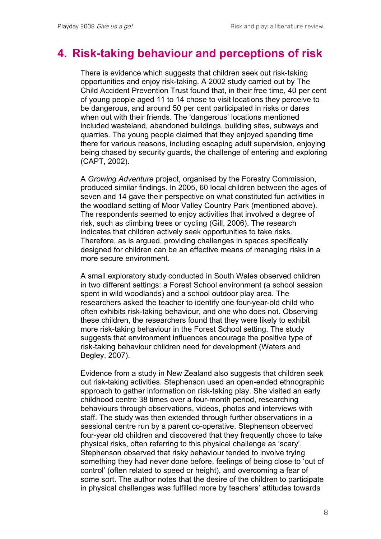#### **4. Risk-taking behaviour and perceptions of risk**

There is evidence which suggests that children seek out risk-taking opportunities and enjoy risk-taking. A 2002 study carried out by The Child Accident Prevention Trust found that, in their free time, 40 per cent of young people aged 11 to 14 chose to visit locations they perceive to be dangerous, and around 50 per cent participated in risks or dares when out with their friends. The 'dangerous' locations mentioned included wasteland, abandoned buildings, building sites, subways and quarries. The young people claimed that they enjoyed spending time there for various reasons, including escaping adult supervision, enjoying being chased by security guards, the challenge of entering and exploring (CAPT, 2002).

A *Growing Adventure* project, organised by the Forestry Commission, produced similar findings. In 2005, 60 local children between the ages of seven and 14 gave their perspective on what constituted fun activities in the woodland setting of Moor Valley Country Park (mentioned above). The respondents seemed to enjoy activities that involved a degree of risk, such as climbing trees or cycling (Gill, 2006). The research indicates that children actively seek opportunities to take risks. Therefore, as is argued, providing challenges in spaces specifically designed for children can be an effective means of managing risks in a more secure environment.

A small exploratory study conducted in South Wales observed children in two different settings: a Forest School environment (a school session spent in wild woodlands) and a school outdoor play area. The researchers asked the teacher to identify one four-year-old child who often exhibits risk-taking behaviour, and one who does not. Observing these children, the researchers found that they were likely to exhibit more risk-taking behaviour in the Forest School setting. The study suggests that environment influences encourage the positive type of risk-taking behaviour children need for development (Waters and Begley, 2007).

Evidence from a study in New Zealand also suggests that children seek out risk-taking activities. Stephenson used an open-ended ethnographic approach to gather information on risk-taking play. She visited an early childhood centre 38 times over a four-month period, researching behaviours through observations, videos, photos and interviews with staff. The study was then extended through further observations in a sessional centre run by a parent co-operative. Stephenson observed four-year old children and discovered that they frequently chose to take physical risks, often referring to this physical challenge as 'scary'. Stephenson observed that risky behaviour tended to involve trying something they had never done before, feelings of being close to 'out of control' (often related to speed or height), and overcoming a fear of some sort. The author notes that the desire of the children to participate in physical challenges was fulfilled more by teachers' attitudes towards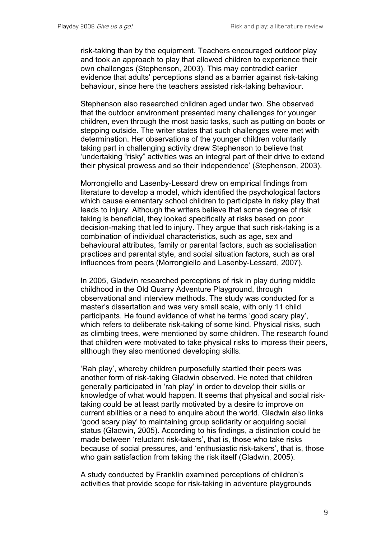risk-taking than by the equipment. Teachers encouraged outdoor play and took an approach to play that allowed children to experience their own challenges (Stephenson, 2003). This may contradict earlier evidence that adults' perceptions stand as a barrier against risk-taking behaviour, since here the teachers assisted risk-taking behaviour.

Stephenson also researched children aged under two. She observed that the outdoor environment presented many challenges for younger children, even through the most basic tasks, such as putting on boots or stepping outside. The writer states that such challenges were met with determination. Her observations of the younger children voluntarily taking part in challenging activity drew Stephenson to believe that 'undertaking "risky" activities was an integral part of their drive to extend their physical prowess and so their independence' (Stephenson, 2003).

Morrongiello and Lasenby-Lessard drew on empirical findings from literature to develop a model, which identified the psychological factors which cause elementary school children to participate in risky play that leads to injury. Although the writers believe that some degree of risk taking is beneficial, they looked specifically at risks based on poor decision-making that led to injury. They argue that such risk-taking is a combination of individual characteristics, such as age, sex and behavioural attributes, family or parental factors, such as socialisation practices and parental style, and social situation factors, such as oral influences from peers (Morrongiello and Lasenby-Lessard, 2007).

In 2005, Gladwin researched perceptions of risk in play during middle childhood in the Old Quarry Adventure Playground, through observational and interview methods. The study was conducted for a master's dissertation and was very small scale, with only 11 child participants. He found evidence of what he terms 'good scary play', which refers to deliberate risk-taking of some kind. Physical risks, such as climbing trees, were mentioned by some children. The research found that children were motivated to take physical risks to impress their peers, although they also mentioned developing skills.

'Rah play', whereby children purposefully startled their peers was another form of risk-taking Gladwin observed. He noted that children generally participated in 'rah play' in order to develop their skills or knowledge of what would happen. It seems that physical and social risktaking could be at least partly motivated by a desire to improve on current abilities or a need to enquire about the world. Gladwin also links 'good scary play' to maintaining group solidarity or acquiring social status (Gladwin, 2005). According to his findings, a distinction could be made between 'reluctant risk-takers', that is, those who take risks because of social pressures, and 'enthusiastic risk-takers', that is, those who gain satisfaction from taking the risk itself (Gladwin, 2005).

A study conducted by Franklin examined perceptions of children's activities that provide scope for risk-taking in adventure playgrounds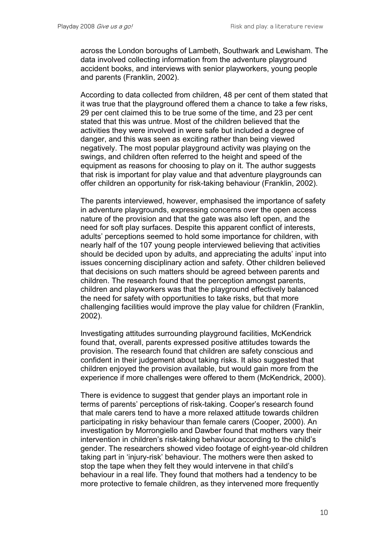across the London boroughs of Lambeth, Southwark and Lewisham. The data involved collecting information from the adventure playground accident books, and interviews with senior playworkers, young people and parents (Franklin, 2002).

According to data collected from children, 48 per cent of them stated that it was true that the playground offered them a chance to take a few risks, 29 per cent claimed this to be true some of the time, and 23 per cent stated that this was untrue. Most of the children believed that the activities they were involved in were safe but included a degree of danger, and this was seen as exciting rather than being viewed negatively. The most popular playground activity was playing on the swings, and children often referred to the height and speed of the equipment as reasons for choosing to play on it. The author suggests that risk is important for play value and that adventure playgrounds can offer children an opportunity for risk-taking behaviour (Franklin, 2002).

The parents interviewed, however, emphasised the importance of safety in adventure playgrounds, expressing concerns over the open access nature of the provision and that the gate was also left open, and the need for soft play surfaces. Despite this apparent conflict of interests, adults' perceptions seemed to hold some importance for children, with nearly half of the 107 young people interviewed believing that activities should be decided upon by adults, and appreciating the adults' input into issues concerning disciplinary action and safety. Other children believed that decisions on such matters should be agreed between parents and children. The research found that the perception amongst parents, children and playworkers was that the playground effectively balanced the need for safety with opportunities to take risks, but that more challenging facilities would improve the play value for children (Franklin, 2002).

Investigating attitudes surrounding playground facilities, McKendrick found that, overall, parents expressed positive attitudes towards the provision. The research found that children are safety conscious and confident in their judgement about taking risks. It also suggested that children enjoyed the provision available, but would gain more from the experience if more challenges were offered to them (McKendrick, 2000).

There is evidence to suggest that gender plays an important role in terms of parents' perceptions of risk-taking. Cooper's research found that male carers tend to have a more relaxed attitude towards children participating in risky behaviour than female carers (Cooper, 2000). An investigation by Morrongiello and Dawber found that mothers vary their intervention in children's risk-taking behaviour according to the child's gender. The researchers showed video footage of eight-year-old children taking part in 'injury-risk' behaviour. The mothers were then asked to stop the tape when they felt they would intervene in that child's behaviour in a real life. They found that mothers had a tendency to be more protective to female children, as they intervened more frequently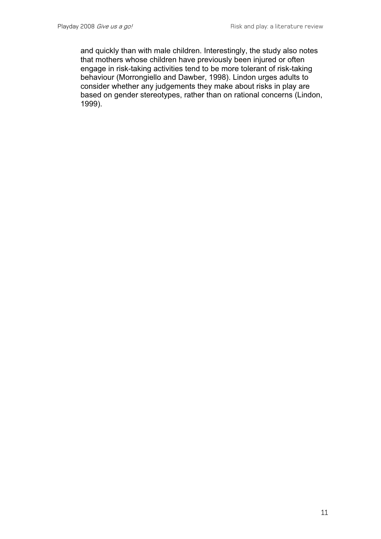and quickly than with male children. Interestingly, the study also notes that mothers whose children have previously been injured or often engage in risk-taking activities tend to be more tolerant of risk-taking behaviour (Morrongiello and Dawber, 1998). Lindon urges adults to consider whether any judgements they make about risks in play are based on gender stereotypes, rather than on rational concerns (Lindon, 1999).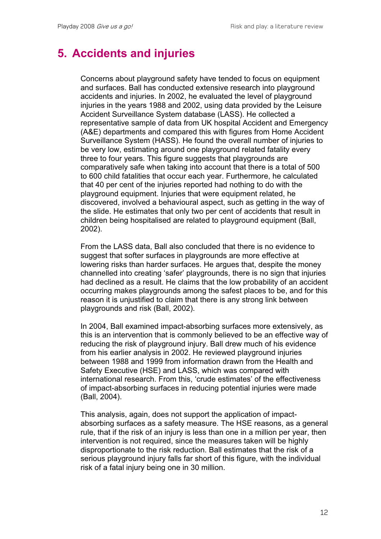## **5. Accidents and injuries**

Concerns about playground safety have tended to focus on equipment and surfaces. Ball has conducted extensive research into playground accidents and injuries. In 2002, he evaluated the level of playground injuries in the years 1988 and 2002, using data provided by the Leisure Accident Surveillance System database (LASS). He collected a representative sample of data from UK hospital Accident and Emergency (A&E) departments and compared this with figures from Home Accident Surveillance System (HASS). He found the overall number of injuries to be very low, estimating around one playground related fatality every three to four years. This figure suggests that playgrounds are comparatively safe when taking into account that there is a total of 500 to 600 child fatalities that occur each year. Furthermore, he calculated that 40 per cent of the injuries reported had nothing to do with the playground equipment. Injuries that were equipment related, he discovered, involved a behavioural aspect, such as getting in the way of the slide. He estimates that only two per cent of accidents that result in children being hospitalised are related to playground equipment (Ball, 2002).

From the LASS data, Ball also concluded that there is no evidence to suggest that softer surfaces in playgrounds are more effective at lowering risks than harder surfaces. He argues that, despite the money channelled into creating 'safer' playgrounds, there is no sign that injuries had declined as a result. He claims that the low probability of an accident occurring makes playgrounds among the safest places to be, and for this reason it is unjustified to claim that there is any strong link between playgrounds and risk (Ball, 2002).

In 2004, Ball examined impact-absorbing surfaces more extensively, as this is an intervention that is commonly believed to be an effective way of reducing the risk of playground injury. Ball drew much of his evidence from his earlier analysis in 2002. He reviewed playground injuries between 1988 and 1999 from information drawn from the Health and Safety Executive (HSE) and LASS, which was compared with international research. From this, 'crude estimates' of the effectiveness of impact-absorbing surfaces in reducing potential injuries were made (Ball, 2004).

This analysis, again, does not support the application of impactabsorbing surfaces as a safety measure. The HSE reasons, as a general rule, that if the risk of an injury is less than one in a million per year, then intervention is not required, since the measures taken will be highly disproportionate to the risk reduction. Ball estimates that the risk of a serious playground injury falls far short of this figure, with the individual risk of a fatal injury being one in 30 million.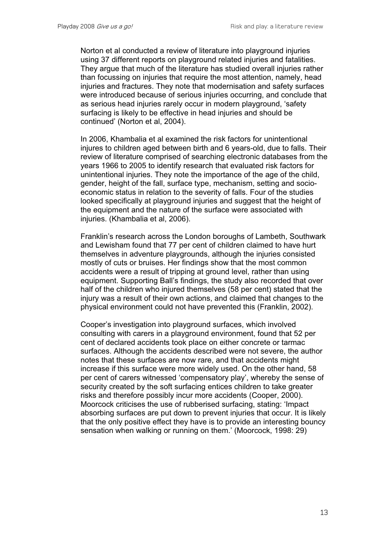Norton et al conducted a review of literature into playground injuries using 37 different reports on playground related injuries and fatalities. They argue that much of the literature has studied overall injuries rather than focussing on injuries that require the most attention, namely, head injuries and fractures. They note that modernisation and safety surfaces were introduced because of serious injuries occurring, and conclude that as serious head injuries rarely occur in modern playground, 'safety surfacing is likely to be effective in head injuries and should be continued' (Norton et al, 2004).

In 2006, Khambalia et al examined the risk factors for unintentional injures to children aged between birth and 6 years-old, due to falls. Their review of literature comprised of searching electronic databases from the years 1966 to 2005 to identify research that evaluated risk factors for unintentional injuries. They note the importance of the age of the child, gender, height of the fall, surface type, mechanism, setting and socioeconomic status in relation to the severity of falls. Four of the studies looked specifically at playground injuries and suggest that the height of the equipment and the nature of the surface were associated with injuries. (Khambalia et al, 2006).

Franklin's research across the London boroughs of Lambeth, Southwark and Lewisham found that 77 per cent of children claimed to have hurt themselves in adventure playgrounds, although the injuries consisted mostly of cuts or bruises. Her findings show that the most common accidents were a result of tripping at ground level, rather than using equipment. Supporting Ball's findings, the study also recorded that over half of the children who injured themselves (58 per cent) stated that the injury was a result of their own actions, and claimed that changes to the physical environment could not have prevented this (Franklin, 2002).

Cooper's investigation into playground surfaces, which involved consulting with carers in a playground environment, found that 52 per cent of declared accidents took place on either concrete or tarmac surfaces. Although the accidents described were not severe, the author notes that these surfaces are now rare, and that accidents might increase if this surface were more widely used. On the other hand, 58 per cent of carers witnessed 'compensatory play', whereby the sense of security created by the soft surfacing entices children to take greater risks and therefore possibly incur more accidents (Cooper, 2000). Moorcock criticises the use of rubberised surfacing, stating: 'Impact absorbing surfaces are put down to prevent injuries that occur. It is likely that the only positive effect they have is to provide an interesting bouncy sensation when walking or running on them.' (Moorcock, 1998: 29)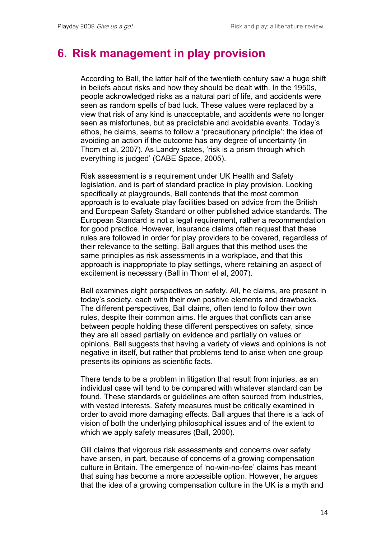### **6. Risk management in play provision**

According to Ball, the latter half of the twentieth century saw a huge shift in beliefs about risks and how they should be dealt with. In the 1950s, people acknowledged risks as a natural part of life, and accidents were seen as random spells of bad luck. These values were replaced by a view that risk of any kind is unacceptable, and accidents were no longer seen as misfortunes, but as predictable and avoidable events. Today's ethos, he claims, seems to follow a 'precautionary principle': the idea of avoiding an action if the outcome has any degree of uncertainty (in Thom et al, 2007). As Landry states, 'risk is a prism through which everything is judged' (CABE Space, 2005).

Risk assessment is a requirement under UK Health and Safety legislation, and is part of standard practice in play provision. Looking specifically at playgrounds, Ball contends that the most common approach is to evaluate play facilities based on advice from the British and European Safety Standard or other published advice standards. The European Standard is not a legal requirement, rather a recommendation for good practice. However, insurance claims often request that these rules are followed in order for play providers to be covered, regardless of their relevance to the setting. Ball argues that this method uses the same principles as risk assessments in a workplace, and that this approach is inappropriate to play settings, where retaining an aspect of excitement is necessary (Ball in Thom et al, 2007).

Ball examines eight perspectives on safety. All, he claims, are present in today's society, each with their own positive elements and drawbacks. The different perspectives, Ball claims, often tend to follow their own rules, despite their common aims. He argues that conflicts can arise between people holding these different perspectives on safety, since they are all based partially on evidence and partially on values or opinions. Ball suggests that having a variety of views and opinions is not negative in itself, but rather that problems tend to arise when one group presents its opinions as scientific facts.

There tends to be a problem in litigation that result from injuries, as an individual case will tend to be compared with whatever standard can be found. These standards or guidelines are often sourced from industries, with vested interests. Safety measures must be critically examined in order to avoid more damaging effects. Ball argues that there is a lack of vision of both the underlying philosophical issues and of the extent to which we apply safety measures (Ball, 2000).

Gill claims that vigorous risk assessments and concerns over safety have arisen, in part, because of concerns of a growing compensation culture in Britain. The emergence of 'no-win-no-fee' claims has meant that suing has become a more accessible option. However, he argues that the idea of a growing compensation culture in the UK is a myth and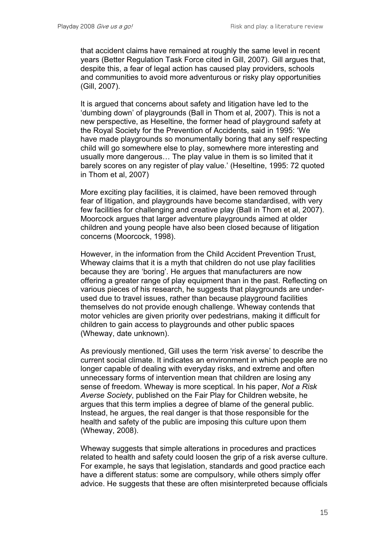that accident claims have remained at roughly the same level in recent years (Better Regulation Task Force cited in Gill, 2007). Gill argues that, despite this, a fear of legal action has caused play providers, schools and communities to avoid more adventurous or risky play opportunities (Gill, 2007).

It is argued that concerns about safety and litigation have led to the 'dumbing down' of playgrounds (Ball in Thom et al, 2007). This is not a new perspective, as Heseltine, the former head of playground safety at the Royal Society for the Prevention of Accidents, said in 1995: 'We have made playgrounds so monumentally boring that any self respecting child will go somewhere else to play, somewhere more interesting and usually more dangerous… The play value in them is so limited that it barely scores on any register of play value.' (Heseltine, 1995: 72 quoted in Thom et al, 2007)

More exciting play facilities, it is claimed, have been removed through fear of litigation, and playgrounds have become standardised, with very few facilities for challenging and creative play (Ball in Thom et al, 2007). Moorcock argues that larger adventure playgrounds aimed at older children and young people have also been closed because of litigation concerns (Moorcock, 1998).

However, in the information from the Child Accident Prevention Trust, Wheway claims that it is a myth that children do not use play facilities because they are 'boring'. He argues that manufacturers are now offering a greater range of play equipment than in the past. Reflecting on various pieces of his research, he suggests that playgrounds are underused due to travel issues, rather than because playground facilities themselves do not provide enough challenge. Wheway contends that motor vehicles are given priority over pedestrians, making it difficult for children to gain access to playgrounds and other public spaces (Wheway, date unknown).

As previously mentioned, Gill uses the term 'risk averse' to describe the current social climate. It indicates an environment in which people are no longer capable of dealing with everyday risks, and extreme and often unnecessary forms of intervention mean that children are losing any sense of freedom. Wheway is more sceptical. In his paper, *Not a Risk Averse Society*, published on the Fair Play for Children website, he argues that this term implies a degree of blame of the general public. Instead, he argues, the real danger is that those responsible for the health and safety of the public are imposing this culture upon them (Wheway, 2008).

Wheway suggests that simple alterations in procedures and practices related to health and safety could loosen the grip of a risk averse culture. For example, he says that legislation, standards and good practice each have a different status: some are compulsory, while others simply offer advice. He suggests that these are often misinterpreted because officials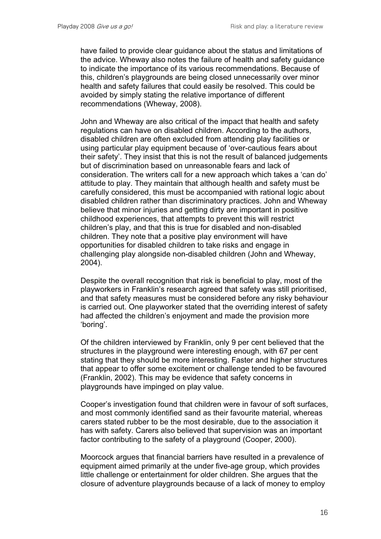have failed to provide clear guidance about the status and limitations of the advice. Wheway also notes the failure of health and safety guidance to indicate the importance of its various recommendations. Because of this, children's playgrounds are being closed unnecessarily over minor health and safety failures that could easily be resolved. This could be avoided by simply stating the relative importance of different recommendations (Wheway, 2008).

John and Wheway are also critical of the impact that health and safety regulations can have on disabled children. According to the authors, disabled children are often excluded from attending play facilities or using particular play equipment because of 'over-cautious fears about their safety'. They insist that this is not the result of balanced judgements but of discrimination based on unreasonable fears and lack of consideration. The writers call for a new approach which takes a 'can do' attitude to play. They maintain that although health and safety must be carefully considered, this must be accompanied with rational logic about disabled children rather than discriminatory practices. John and Wheway believe that minor injuries and getting dirty are important in positive childhood experiences, that attempts to prevent this will restrict children's play, and that this is true for disabled and non-disabled children. They note that a positive play environment will have opportunities for disabled children to take risks and engage in challenging play alongside non-disabled children (John and Wheway, 2004).

Despite the overall recognition that risk is beneficial to play, most of the playworkers in Franklin's research agreed that safety was still prioritised, and that safety measures must be considered before any risky behaviour is carried out. One playworker stated that the overriding interest of safety had affected the children's enjoyment and made the provision more 'boring'.

Of the children interviewed by Franklin, only 9 per cent believed that the structures in the playground were interesting enough, with 67 per cent stating that they should be more interesting. Faster and higher structures that appear to offer some excitement or challenge tended to be favoured (Franklin, 2002). This may be evidence that safety concerns in playgrounds have impinged on play value.

Cooper's investigation found that children were in favour of soft surfaces, and most commonly identified sand as their favourite material, whereas carers stated rubber to be the most desirable, due to the association it has with safety. Carers also believed that supervision was an important factor contributing to the safety of a playground (Cooper, 2000).

Moorcock argues that financial barriers have resulted in a prevalence of equipment aimed primarily at the under five-age group, which provides little challenge or entertainment for older children. She argues that the closure of adventure playgrounds because of a lack of money to employ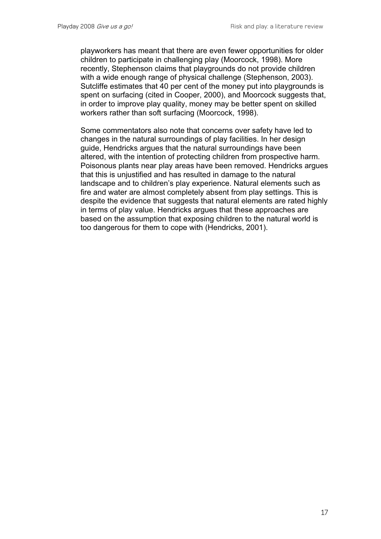playworkers has meant that there are even fewer opportunities for older children to participate in challenging play (Moorcock, 1998). More recently, Stephenson claims that playgrounds do not provide children with a wide enough range of physical challenge (Stephenson, 2003). Sutcliffe estimates that 40 per cent of the money put into playgrounds is spent on surfacing (cited in Cooper, 2000), and Moorcock suggests that, in order to improve play quality, money may be better spent on skilled workers rather than soft surfacing (Moorcock, 1998).

Some commentators also note that concerns over safety have led to changes in the natural surroundings of play facilities. In her design guide, Hendricks argues that the natural surroundings have been altered, with the intention of protecting children from prospective harm. Poisonous plants near play areas have been removed. Hendricks argues that this is unjustified and has resulted in damage to the natural landscape and to children's play experience. Natural elements such as fire and water are almost completely absent from play settings. This is despite the evidence that suggests that natural elements are rated highly in terms of play value. Hendricks argues that these approaches are based on the assumption that exposing children to the natural world is too dangerous for them to cope with (Hendricks, 2001).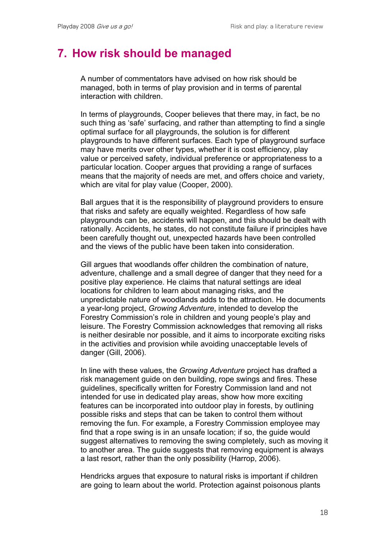#### **7. How risk should be managed**

A number of commentators have advised on how risk should be managed, both in terms of play provision and in terms of parental interaction with children.

In terms of playgrounds, Cooper believes that there may, in fact, be no such thing as 'safe' surfacing, and rather than attempting to find a single optimal surface for all playgrounds, the solution is for different playgrounds to have different surfaces. Each type of playground surface may have merits over other types, whether it is cost efficiency, play value or perceived safety, individual preference or appropriateness to a particular location. Cooper argues that providing a range of surfaces means that the majority of needs are met, and offers choice and variety, which are vital for play value (Cooper, 2000).

Ball argues that it is the responsibility of playground providers to ensure that risks and safety are equally weighted. Regardless of how safe playgrounds can be, accidents will happen, and this should be dealt with rationally. Accidents, he states, do not constitute failure if principles have been carefully thought out, unexpected hazards have been controlled and the views of the public have been taken into consideration.

Gill argues that woodlands offer children the combination of nature, adventure, challenge and a small degree of danger that they need for a positive play experience. He claims that natural settings are ideal locations for children to learn about managing risks, and the unpredictable nature of woodlands adds to the attraction. He documents a year-long project, *Growing Adventure*, intended to develop the Forestry Commission's role in children and young people's play and leisure. The Forestry Commission acknowledges that removing all risks is neither desirable nor possible, and it aims to incorporate exciting risks in the activities and provision while avoiding unacceptable levels of danger (Gill, 2006).

In line with these values, the *Growing Adventure* project has drafted a risk management guide on den building, rope swings and fires. These guidelines, specifically written for Forestry Commission land and not intended for use in dedicated play areas, show how more exciting features can be incorporated into outdoor play in forests, by outlining possible risks and steps that can be taken to control them without removing the fun. For example, a Forestry Commission employee may find that a rope swing is in an unsafe location; if so, the guide would suggest alternatives to removing the swing completely, such as moving it to another area. The guide suggests that removing equipment is always a last resort, rather than the only possibility (Harrop, 2006).

Hendricks argues that exposure to natural risks is important if children are going to learn about the world. Protection against poisonous plants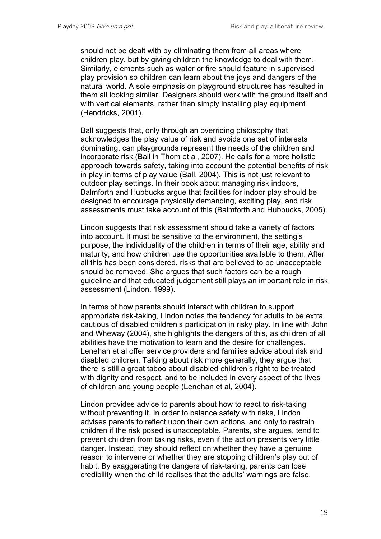should not be dealt with by eliminating them from all areas where children play, but by giving children the knowledge to deal with them. Similarly, elements such as water or fire should feature in supervised play provision so children can learn about the joys and dangers of the natural world. A sole emphasis on playground structures has resulted in them all looking similar. Designers should work with the ground itself and with vertical elements, rather than simply installing play equipment (Hendricks, 2001).

Ball suggests that, only through an overriding philosophy that acknowledges the play value of risk and avoids one set of interests dominating, can playgrounds represent the needs of the children and incorporate risk (Ball in Thom et al, 2007). He calls for a more holistic approach towards safety, taking into account the potential benefits of risk in play in terms of play value (Ball, 2004). This is not just relevant to outdoor play settings. In their book about managing risk indoors, Balmforth and Hubbucks argue that facilities for indoor play should be designed to encourage physically demanding, exciting play, and risk assessments must take account of this (Balmforth and Hubbucks, 2005).

Lindon suggests that risk assessment should take a variety of factors into account. It must be sensitive to the environment, the setting's purpose, the individuality of the children in terms of their age, ability and maturity, and how children use the opportunities available to them. After all this has been considered, risks that are believed to be unacceptable should be removed. She argues that such factors can be a rough guideline and that educated judgement still plays an important role in risk assessment (Lindon, 1999).

In terms of how parents should interact with children to support appropriate risk-taking, Lindon notes the tendency for adults to be extra cautious of disabled children's participation in risky play. In line with John and Wheway (2004), she highlights the dangers of this, as children of all abilities have the motivation to learn and the desire for challenges. Lenehan et al offer service providers and families advice about risk and disabled children. Talking about risk more generally, they argue that there is still a great taboo about disabled children's right to be treated with dignity and respect, and to be included in every aspect of the lives of children and young people (Lenehan et al, 2004).

Lindon provides advice to parents about how to react to risk-taking without preventing it. In order to balance safety with risks, Lindon advises parents to reflect upon their own actions, and only to restrain children if the risk posed is unacceptable. Parents, she argues, tend to prevent children from taking risks, even if the action presents very little danger. Instead, they should reflect on whether they have a genuine reason to intervene or whether they are stopping children's play out of habit. By exaggerating the dangers of risk-taking, parents can lose credibility when the child realises that the adults' warnings are false.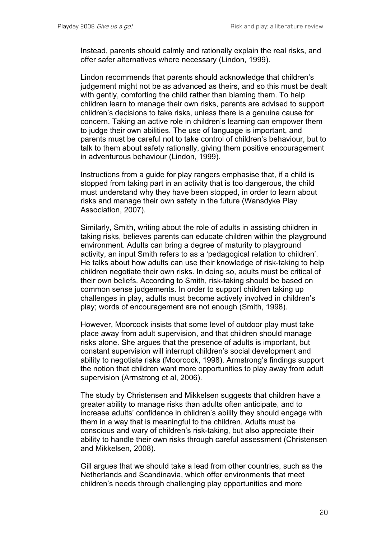Instead, parents should calmly and rationally explain the real risks, and offer safer alternatives where necessary (Lindon, 1999).

Lindon recommends that parents should acknowledge that children's judgement might not be as advanced as theirs, and so this must be dealt with gently, comforting the child rather than blaming them. To help children learn to manage their own risks, parents are advised to support children's decisions to take risks, unless there is a genuine cause for concern. Taking an active role in children's learning can empower them to judge their own abilities. The use of language is important, and parents must be careful not to take control of children's behaviour, but to talk to them about safety rationally, giving them positive encouragement in adventurous behaviour (Lindon, 1999).

Instructions from a guide for play rangers emphasise that, if a child is stopped from taking part in an activity that is too dangerous, the child must understand why they have been stopped, in order to learn about risks and manage their own safety in the future (Wansdyke Play Association, 2007).

Similarly, Smith, writing about the role of adults in assisting children in taking risks, believes parents can educate children within the playground environment. Adults can bring a degree of maturity to playground activity, an input Smith refers to as a 'pedagogical relation to children'. He talks about how adults can use their knowledge of risk-taking to help children negotiate their own risks. In doing so, adults must be critical of their own beliefs. According to Smith, risk-taking should be based on common sense judgements. In order to support children taking up challenges in play, adults must become actively involved in children's play; words of encouragement are not enough (Smith, 1998).

However, Moorcock insists that some level of outdoor play must take place away from adult supervision, and that children should manage risks alone. She argues that the presence of adults is important, but constant supervision will interrupt children's social development and ability to negotiate risks (Moorcock, 1998). Armstrong's findings support the notion that children want more opportunities to play away from adult supervision (Armstrong et al, 2006).

The study by Christensen and Mikkelsen suggests that children have a greater ability to manage risks than adults often anticipate, and to increase adults' confidence in children's ability they should engage with them in a way that is meaningful to the children. Adults must be conscious and wary of children's risk-taking, but also appreciate their ability to handle their own risks through careful assessment (Christensen and Mikkelsen, 2008).

Gill argues that we should take a lead from other countries, such as the Netherlands and Scandinavia, which offer environments that meet children's needs through challenging play opportunities and more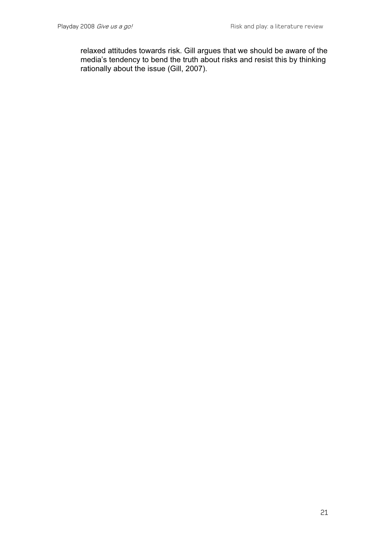relaxed attitudes towards risk. Gill argues that we should be aware of the media's tendency to bend the truth about risks and resist this by thinking rationally about the issue (Gill, 2007).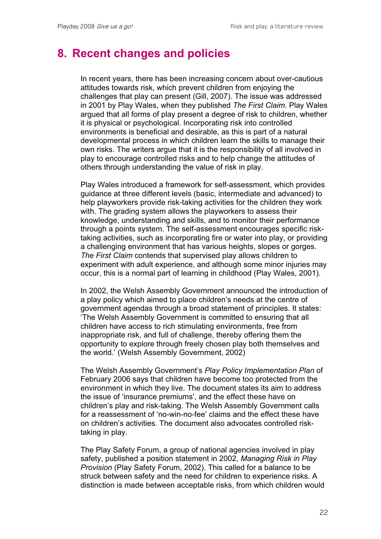#### **8. Recent changes and policies**

In recent years, there has been increasing concern about over-cautious attitudes towards risk, which prevent children from enjoying the challenges that play can present (Gill, 2007). The issue was addressed in 2001 by Play Wales, when they published *The First Claim.* Play Wales argued that all forms of play present a degree of risk to children, whether it is physical or psychological. Incorporating risk into controlled environments is beneficial and desirable, as this is part of a natural developmental process in which children learn the skills to manage their own risks. The writers argue that it is the responsibility of all involved in play to encourage controlled risks and to help change the attitudes of others through understanding the value of risk in play.

Play Wales introduced a framework for self-assessment, which provides guidance at three different levels (basic, intermediate and advanced) to help playworkers provide risk-taking activities for the children they work with. The grading system allows the playworkers to assess their knowledge, understanding and skills, and to monitor their performance through a points system. The self-assessment encourages specific risktaking activities, such as incorporating fire or water into play, or providing a challenging environment that has various heights, slopes or gorges. *The First Claim* contends that supervised play allows children to experiment with adult experience, and although some minor injuries may occur, this is a normal part of learning in childhood (Play Wales, 2001).

In 2002, the Welsh Assembly Government announced the introduction of a play policy which aimed to place children's needs at the centre of government agendas through a broad statement of principles. It states: 'The Welsh Assembly Government is committed to ensuring that all children have access to rich stimulating environments, free from inappropriate risk, and full of challenge, thereby offering them the opportunity to explore through freely chosen play both themselves and the world.' (Welsh Assembly Government, 2002)

The Welsh Assembly Government's *Play Policy Implementation Plan* of February 2006 says that children have become too protected from the environment in which they live. The document states its aim to address the issue of 'insurance premiums', and the effect these have on children's play and risk-taking. The Welsh Assembly Government calls for a reassessment of 'no-win-no-fee' claims and the effect these have on children's activities. The document also advocates controlled risktaking in play.

The Play Safety Forum, a group of national agencies involved in play safety, published a position statement in 2002, *Managing Risk in Play Provision* (Play Safety Forum, 2002). This called for a balance to be struck between safety and the need for children to experience risks. A distinction is made between acceptable risks, from which children would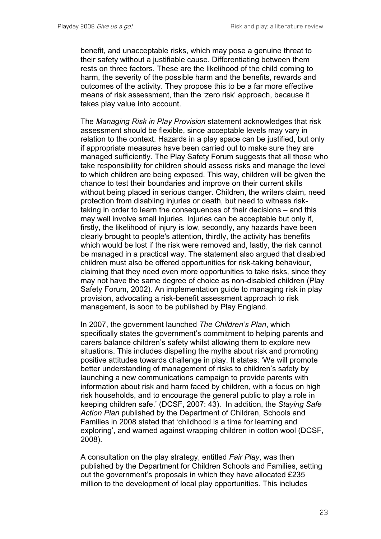benefit, and unacceptable risks, which may pose a genuine threat to their safety without a justifiable cause. Differentiating between them rests on three factors. These are the likelihood of the child coming to harm, the severity of the possible harm and the benefits, rewards and outcomes of the activity. They propose this to be a far more effective means of risk assessment, than the 'zero risk' approach, because it takes play value into account.

The *Managing Risk in Play Provision* statement acknowledges that risk assessment should be flexible, since acceptable levels may vary in relation to the context. Hazards in a play space can be justified, but only if appropriate measures have been carried out to make sure they are managed sufficiently. The Play Safety Forum suggests that all those who take responsibility for children should assess risks and manage the level to which children are being exposed. This way, children will be given the chance to test their boundaries and improve on their current skills without being placed in serious danger. Children, the writers claim, need protection from disabling injuries or death, but need to witness risktaking in order to learn the consequences of their decisions – and this may well involve small injuries. Injuries can be acceptable but only if, firstly, the likelihood of injury is low, secondly, any hazards have been clearly brought to people's attention, thirdly, the activity has benefits which would be lost if the risk were removed and, lastly, the risk cannot be managed in a practical way. The statement also argued that disabled children must also be offered opportunities for risk-taking behaviour, claiming that they need even more opportunities to take risks, since they may not have the same degree of choice as non-disabled children (Play Safety Forum, 2002). An implementation guide to managing risk in play provision, advocating a risk-benefit assessment approach to risk management, is soon to be published by Play England.

In 2007, the government launched *The Children's Plan*, which specifically states the government's commitment to helping parents and carers balance children's safety whilst allowing them to explore new situations. This includes dispelling the myths about risk and promoting positive attitudes towards challenge in play. It states: 'We will promote better understanding of management of risks to children's safety by launching a new communications campaign to provide parents with information about risk and harm faced by children, with a focus on high risk households, and to encourage the general public to play a role in keeping children safe.' (DCSF, 2007: 43). In addition, the *Staying Safe Action Plan* published by the Department of Children, Schools and Families in 2008 stated that 'childhood is a time for learning and exploring', and warned against wrapping children in cotton wool (DCSF, 2008).

A consultation on the play strategy, entitled *Fair Play*, was then published by the Department for Children Schools and Families, setting out the government's proposals in which they have allocated £235 million to the development of local play opportunities. This includes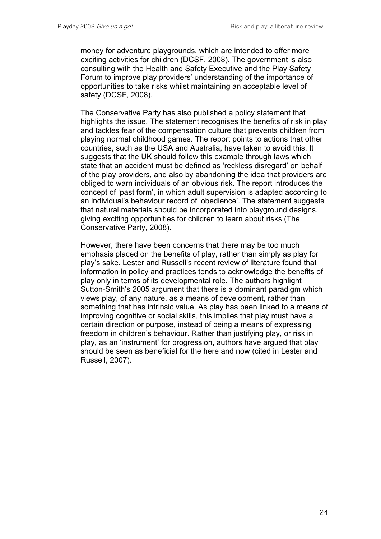money for adventure playgrounds, which are intended to offer more exciting activities for children (DCSF, 2008). The government is also consulting with the Health and Safety Executive and the Play Safety Forum to improve play providers' understanding of the importance of opportunities to take risks whilst maintaining an acceptable level of safety (DCSF, 2008).

The Conservative Party has also published a policy statement that highlights the issue. The statement recognises the benefits of risk in play and tackles fear of the compensation culture that prevents children from playing normal childhood games. The report points to actions that other countries, such as the USA and Australia, have taken to avoid this. It suggests that the UK should follow this example through laws which state that an accident must be defined as 'reckless disregard' on behalf of the play providers, and also by abandoning the idea that providers are obliged to warn individuals of an obvious risk. The report introduces the concept of 'past form', in which adult supervision is adapted according to an individual's behaviour record of 'obedience'. The statement suggests that natural materials should be incorporated into playground designs, giving exciting opportunities for children to learn about risks (The Conservative Party, 2008).

However, there have been concerns that there may be too much emphasis placed on the benefits of play, rather than simply as play for play's sake. Lester and Russell's recent review of literature found that information in policy and practices tends to acknowledge the benefits of play only in terms of its developmental role. The authors highlight Sutton-Smith's 2005 argument that there is a dominant paradigm which views play, of any nature, as a means of development, rather than something that has intrinsic value. As play has been linked to a means of improving cognitive or social skills, this implies that play must have a certain direction or purpose, instead of being a means of expressing freedom in children's behaviour. Rather than justifying play, or risk in play, as an 'instrument' for progression, authors have argued that play should be seen as beneficial for the here and now (cited in Lester and Russell, 2007).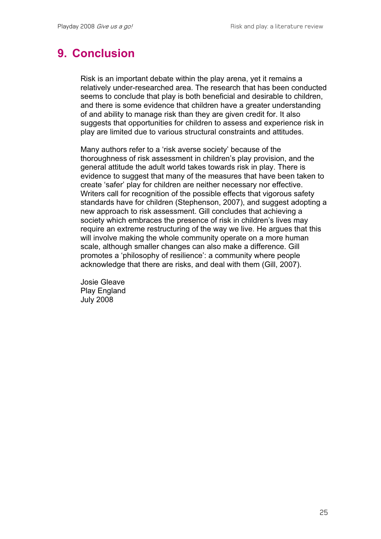# **9. Conclusion**

Risk is an important debate within the play arena, yet it remains a relatively under-researched area. The research that has been conducted seems to conclude that play is both beneficial and desirable to children, and there is some evidence that children have a greater understanding of and ability to manage risk than they are given credit for. It also suggests that opportunities for children to assess and experience risk in play are limited due to various structural constraints and attitudes.

Many authors refer to a 'risk averse society' because of the thoroughness of risk assessment in children's play provision, and the general attitude the adult world takes towards risk in play. There is evidence to suggest that many of the measures that have been taken to create 'safer' play for children are neither necessary nor effective. Writers call for recognition of the possible effects that vigorous safety standards have for children (Stephenson, 2007), and suggest adopting a new approach to risk assessment. Gill concludes that achieving a society which embraces the presence of risk in children's lives may require an extreme restructuring of the way we live. He argues that this will involve making the whole community operate on a more human scale, although smaller changes can also make a difference. Gill promotes a 'philosophy of resilience': a community where people acknowledge that there are risks, and deal with them (Gill, 2007).

Josie Gleave Play England July 2008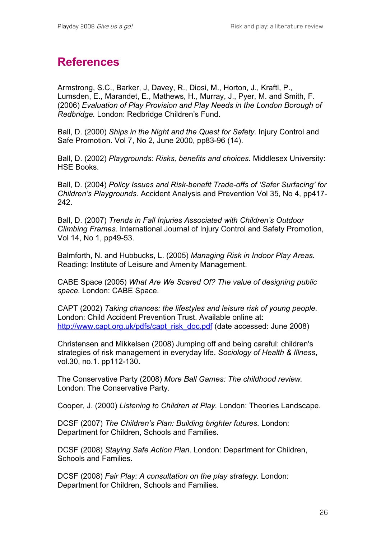# **References**

Armstrong, S.C., Barker, J, Davey, R., Diosi, M., Horton, J., Kraftl, P., Lumsden, E., Marandet, E., Mathews, H., Murray, J., Pyer, M. and Smith, F. (2006) *Evaluation of Play Provision and Play Needs in the London Borough of Redbridge.* London: Redbridge Children's Fund.

Ball, D. (2000) *Ships in the Night and the Quest for Safety.* Injury Control and Safe Promotion. Vol 7, No 2, June 2000, pp83-96 (14).

Ball, D. (2002) *Playgrounds: Risks, benefits and choices.* Middlesex University: HSE Books.

Ball, D. (2004) *Policy Issues and Risk-benefit Trade-offs of 'Safer Surfacing' for Children's Playgrounds.* Accident Analysis and Prevention Vol 35, No 4, pp417- 242.

Ball, D. (2007) *Trends in Fall Injuries Associated with Children's Outdoor Climbing Frames.* International Journal of Injury Control and Safety Promotion, Vol 14, No 1, pp49-53.

Balmforth, N. and Hubbucks, L. (2005) *Managing Risk in Indoor Play Areas.*  Reading: Institute of Leisure and Amenity Management.

CABE Space (2005) *What Are We Scared Of? The value of designing public space.* London: CABE Space.

CAPT (2002) *Taking chances: the lifestyles and leisure risk of young people.*  London: Child Accident Prevention Trust. Available online at: http://www.capt.org.uk/pdfs/capt\_risk\_doc.pdf (date accessed: June 2008)

Christensen and Mikkelsen (2008) Jumping off and being careful: children's strategies of risk management in everyday life. *Sociology of Health & Illness***,** vol.30, no.1. pp112-130.

The Conservative Party (2008) *More Ball Games: The childhood review.*  London: The Conservative Party.

Cooper, J. (2000) *Listening to Children at Play.* London: Theories Landscape.

DCSF (2007) *The Children's Plan: Building brighter futures.* London: Department for Children, Schools and Families.

DCSF (2008) *Staying Safe Action Plan*. London: Department for Children, Schools and Families.

DCSF (2008) *Fair Play: A consultation on the play strategy.* London: Department for Children, Schools and Families.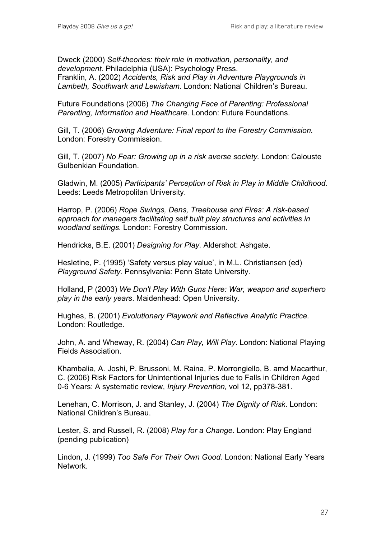Dweck (2000) *Self-theories: their role in motivation, personality, and development.* Philadelphia (USA): Psychology Press.

Franklin, A. (2002) *Accidents, Risk and Play in Adventure Playgrounds in Lambeth, Southwark and Lewisham.* London: National Children's Bureau.

Future Foundations (2006) *The Changing Face of Parenting: Professional Parenting, Information and Healthcare*. London: Future Foundations.

Gill, T. (2006) *Growing Adventure: Final report to the Forestry Commission.*  London: Forestry Commission.

Gill, T. (2007) *No Fear: Growing up in a risk averse society.* London: Calouste Gulbenkian Foundation.

Gladwin, M. (2005) *Participants' Perception of Risk in Play in Middle Childhood.*  Leeds: Leeds Metropolitan University.

Harrop, P. (2006) *Rope Swings, Dens, Treehouse and Fires: A risk-based approach for managers facilitating self built play structures and activities in woodland settings.* London: Forestry Commission.

Hendricks, B.E. (2001) *Designing for Play.* Aldershot: Ashgate.

Hesletine, P. (1995) 'Safety versus play value', in M.L. Christiansen (ed) *Playground Safety*. Pennsylvania: Penn State University.

Holland, P (2003) *We Don't Play With Guns Here: War, weapon and superhero play in the early years*. Maidenhead: Open University.

Hughes, B. (2001) *Evolutionary Playwork and Reflective Analytic Practice.*  London: Routledge.

John, A. and Wheway, R. (2004) *Can Play, Will Play*. London: National Playing Fields Association.

Khambalia, A. Joshi, P. Brussoni, M. Raina, P. Morrongiello, B. amd Macarthur, C. (2006) Risk Factors for Unintentional Injuries due to Falls in Children Aged 0-6 Years: A systematic review, *Injury Prevention,* vol 12, pp378-381.

Lenehan, C. Morrison, J. and Stanley, J. (2004) *The Dignity of Risk*. London: National Children's Bureau.

Lester, S. and Russell, R. (2008) *Play for a Change.* London: Play England (pending publication)

Lindon, J. (1999) *Too Safe For Their Own Good.* London: National Early Years Network.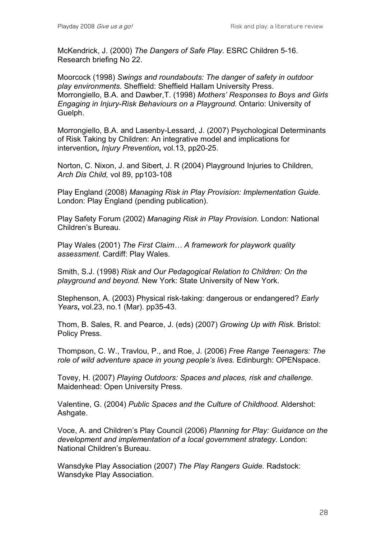McKendrick, J. (2000) *The Dangers of Safe Play*. ESRC Children 5-16. Research briefing No 22.

Moorcock (1998) *Swings and roundabouts: The danger of safety in outdoor play environments.* Sheffield: Sheffield Hallam University Press. Morrongiello, B.A. and Dawber,T. (1998) *Mothers' Responses to Boys and Girls Engaging in Injury-Risk Behaviours on a Playground.* Ontario: University of Guelph.

Morrongiello, B.A. and Lasenby-Lessard, J. (2007) Psychological Determinants of Risk Taking by Children: An integrative model and implications for intervention*, Injury Prevention***,** vol.13, pp20-25.

Norton, C. Nixon, J. and Sibert, J. R (2004) Playground Injuries to Children, *Arch Dis Child,* vol 89, pp103-108

Play England (2008) *Managing Risk in Play Provision: Implementation Guide.*  London: Play England (pending publication).

Play Safety Forum (2002) *Managing Risk in Play Provision.* London: National Children's Bureau.

Play Wales (2001) *The First Claim… A framework for playwork quality assessment.* Cardiff: Play Wales.

Smith, S.J. (1998) *Risk and Our Pedagogical Relation to Children: On the playground and beyond.* New York: State University of New York.

Stephenson, A. (2003) Physical risk-taking: dangerous or endangered? *Early Years***,** vol.23, no.1 (Mar). pp35-43.

Thom, B. Sales, R. and Pearce, J. (eds) (2007) *Growing Up with Risk.* Bristol: Policy Press.

Thompson, C. W., Travlou, P., and Roe, J. (2006) *Free Range Teenagers: The role of wild adventure space in young people's lives.* Edinburgh: OPENspace.

Tovey, H. (2007) *Playing Outdoors: Spaces and places, risk and challenge.*  Maidenhead: Open University Press.

Valentine, G. (2004) *Public Spaces and the Culture of Childhood.* Aldershot: Ashgate.

Voce, A. and Children's Play Council (2006) *Planning for Play: Guidance on the development and implementation of a local government strategy.* London: National Children's Bureau.

Wansdyke Play Association (2007) *The Play Rangers Guide.* Radstock: Wansdyke Play Association.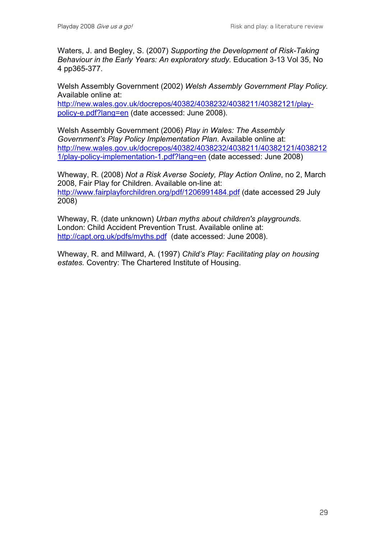Waters, J. and Begley, S. (2007) *Supporting the Development of Risk-Taking Behaviour in the Early Years: An exploratory study.* Education 3-13 Vol 35, No 4 pp365-377.

Welsh Assembly Government (2002) *Welsh Assembly Government Play Policy.*  Available online at:

http://new.wales.gov.uk/docrepos/40382/4038232/4038211/40382121/playpolicy-e.pdf?lang=en (date accessed: June 2008).

Welsh Assembly Government (2006) *Play in Wales: The Assembly Government's Play Policy Implementation Plan.* Available online at: http://new.wales.gov.uk/docrepos/40382/4038232/4038211/40382121/4038212 1/play-policy-implementation-1.pdf?lang=en (date accessed: June 2008)

Wheway, R. (2008) *Not a Risk Averse Society, Play Action Online*, no 2, March 2008, Fair Play for Children. Available on-line at: http://www.fairplayforchildren.org/pdf/1206991484.pdf (date accessed 29 July 2008)

Wheway, R. (date unknown) *Urban myths about children's playgrounds.*  London: Child Accident Prevention Trust. Available online at: http://capt.org.uk/pdfs/myths.pdf (date accessed: June 2008).

Wheway, R. and Millward, A. (1997) *Child's Play: Facilitating play on housing estates.* Coventry: The Chartered Institute of Housing.